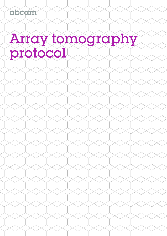abcam

# Array tomography<br>protocol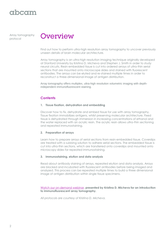# hcam

Array tomography protocol



Find out how to perform ultra-high resolution array tomography to uncover previously unseen details of brain molecular architecture.

Array tomography is an ultra-high resolution imaging technique originally developed at Stanford University by Kristina D. Micheva and Stephen J. Smith in order to study neural circuits. Resin-embedded tissue is cut into ordered arrays of ultra-thin serial sections that are mounted onto microscope slides and stained with fluorescent antibodies. The arrays can be eluted and re-stained multiple times in order to reconstruct a three-dimensional image of antigen distribution.

Array tomography offers multiplex, ultra-high resolution volumetric imaging with depthindependent immunofluorescent staining.

# **Contents**

#### **1. Tissue fixation, dehydration and embedding**

Discover how to fix, dehydrate and embed tissue for use with array tomography. Tissue fixation immobilizes antigens, whilst preserving molecular architecture. Fixed tissue is dehydrated through immersion in increasing concentrations of ethanol and the water replaced with an acrylic resin. The acrylic resin allows ultra-thin sectioning and repeated immunostaining.

#### **2. Preparation of arrays**

Learn how to prepare arrays of serial sections from resin-embedded tissue. Coverslips are treated with a subbing solution to adhere serial sections. The embedded tissue is cut into ultra-thin sections, which are transferred onto coverslips and mounted onto microscopy slides for repeated immunostaining.

#### **3. Immunostaining, elution and data analysis**

Read about antibody staining of arrays, repeated elution and data analysis. Arrays are blocked and incubated with fluorescent antibodies before being imaged and analyzed. This process can be repeated multiple times to build a three dimensional image of antigen distribution within single tissue specimens.

#### [Watch our on-demand webinar](http://www.abcam.com/webinars/immunofluorescent-array-tomography-webinar)**, presented by Kristina D. Micheva for an introduction to immunofluorescent array tomography.**

*All protocols are courtesy of Kristina D. Micheva.*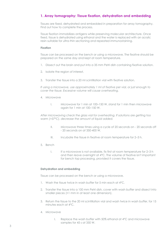# **1. Array tomography: Tissue fixation, dehydration and embedding**

Tissues are fixed, dehydrated and embedded in preparation for array tomography. Find out how to complete the process.

Tissue fixation immobilizes antigens while preserving molecular architecture. Once fixed, tissue is dehydrated using ethanol and the water is replaced with an acrylic resin suitable for ultra-thin sectioning and repeated immunostaining.

#### **Fixation**

Tissue can be processed on the bench or using a microwave. The fixative should be prepared on the same day and kept at room temperature.

- 1. Dissect out the brain and put into a 35 mm Petri dish containing fixative solution.
- 2. Isolate the region of interest.
- 3. Transfer the tissue into a 20 ml scintillation vial with fixative solution.

*If using a microwave, use approximately 1 ml of fixative per vial, or just enough to cover the tissue. Excessive volume will cause overheating.* 

- 4. Microwave
	- I. Microwave for 1 min at 100–150 W, stand for 1 min then microwave again for 1 min at 100–150 W.

*After microwaving check the glass vial for overheating. If solutions are getting too warm (>37°C), decrease the amount of liquid added.* 

- II. Microwave three times using a cycle of 20 seconds on 20 seconds off - 20 seconds on at 350-400 W.
- III. Incubate the tissue in fixative at room temperature for 2–3 h.
- 5. Bench
	- I. If a microwave is not available, fix first at room temperature for 2-3 h and then leave overnight at 4°C. The volume of fixative isn't important for bench top processing, provided it covers the tissue.

#### **Dehydration and embedding**

Tissue can be processed on the bench or using a microwave.

- 1. Wash the tissue twice in wash buffer for 5 min each at 4°C.
- 2. Transfer the tissue into a 100 mm Petri dish, cover with wash buffer and dissect into smaller pieces (<1 mm in at least one dimension).
- 3. Return the tissue to the 20 ml scintillation vial and wash twice in wash buffer, for 15 minutes each at 4°C.
- 4. Microwave
	- I. Replace the wash buffer with 50% ethanol at 4°C and microwave samples for 45 s at 350 W.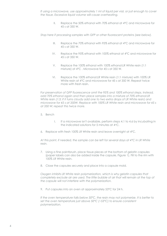*If using a microwave, use approximately 1 ml of liquid per vial, or just enough to cover the tissue. Excessive liquid volume will cause overheating.* 

> II. Replace the 50% ethanol with 70% ethanol at 4°C and microwave for 45 s at 350 W.

*Stop here if processing samples with GFP or other fluorescent proteins (see below).* 

- III. Replace the 70% ethanol with 95% ethanol at 4°C and microwave for 45 s at 350 W.
- IV. Replace the 95% ethanol with 100% ethanol at 4°C and microwave for 45 s at 350 W.
- V. Replace the 100% ethanol with 100% ethanol:LR White resin (1:1 mixture) at 4°C . Microwave for 45 s at 350 W.
- VI. Replace the 100% ethanol:LR White resin (1:1 mixture) with 100% LR White resin at 4°C and microwave for 45 s at 350 W. Repeat twice more with fresh resin.

*For preservation of GFP fluorescence omit the 95% and 100% ethanol steps. Instead, add 70% ethanol again and then place samples into a mixture of 70% ethanol:LR White resin (1:3; if it turns cloudy add one to two extra drops of LR White resin) and microwave for 45 s at 350W. Replace with 100% LR White resin and microwave for 45 s at 350 W; repeat this twice more.* 

- 5. Bench
	- I. If a microwave isn't available, perform steps 4.1 to 4.6 by incubating in the indicated solutions for 5 minutes at 4oC.
- 6. Replace with fresh 100% LR White resin and leave overnight at 4°C.

*At this point, if needed, the sample can be left for several days at 4°C in LR White resin.* 

- 7. Using a fine paintbrush, place tissue pieces at the bottom of gelatin capsules (paper labels can also be added inside the capsule, Figure 1). Fill to the rim with 100% LR White resin.
- 8. Close the capsules securely and place into a capsule mold.

*Oxygen inhibits LR White resin polymerization, which is why gelatin capsules that completely exclude air are used. The little bubble of air that will remain at the top of the capsule will not interfere with the polymerization.* 

9. Put capsules into an oven at approximately 53°C for 24 h.

*If the oven temperature falls below 50°C, the resin may not polymerize. It is better to set the oven temperature just above 50°C (~53°C) to ensure consistent polymerization.*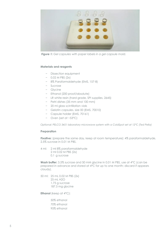

*Figure 1: Gel capsules with paper labels in a gel capsule mold.*

#### **Materials and reagents**

- − Dissection equipment
- − 0.02 M PBS (2x)
- − 8% Paraformaldehyde (EMS, 157-8)
- − Sucrose
- − Glycine
- − Ethanol (200 proof/absolute)
- − LR white resin (hard grade, SPI supplies, 2645)
- − Petri dishes (35 mm and 100 mm)
- − 20 ml glass scintillation vials
- − Gelatin capsules, size 00 (EMS, 70010)
- − Capsule holder (EMS, 70161)
- − Oven (set at ~53°C)

*Optional: PELCO 3451 laboratory microwave system with a ColdSpot set at 12°C (Ted Pella)* 

#### **Preparation**

**Fixative:** (prepare the same day, keep at room temperature): 4% paraformaldehyde, 2.5% sucrose in 0.01 M PBS.

- 4 ml: 2 ml 8% paraformaldehyde
	- 2 ml 0.02 M PBS (2x)
	- 0.1 g sucrose

**Wash buffer:** 3.5% sucrose and 50 mM glycine in 0.01 M PBS, use at 4°C (can be prepared in advance and stored at 4°C for up to one month; discard if appears cloudy).

50 ml: 25 mL 0.02 M PBS (2x) 25 mL H2O 1.75 g sucrose 187.5 mg glycine

**Ethanol** (keep at  $4^{\circ}$ C):

50% ethanol 70% ethanol 95% ethanol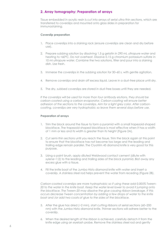# **2. Array tomography: Preparation of arrays**

Tissue embedded in acrylic resin is cut into arrays of serial ultra-thin sections, which are transferred to coverslips and mounted onto glass slides in preparation for immunostaining.

#### **Coverslip preparation**

- 1. Place coverslips into a staining rack (ensure coverslips are clean and dry before use).
- 2. Prepare subbing solution by dissolving 1.5 g gelatin in 290 mL ultrapure water and heating to <60°C. Do not overheat. Dissolve 0.15 g chromium potassium sulfate in 10 ml ultrapure water. Combine the two solutions, filter and pour into a staining dish. Use fresh.
- 3. Immerse the coverslips in the subbing solution for 30–60 s, with gentle agitation.
- 4. Remove coverslips and drain off excess liquid. Leave in a dust-free place until dry.
- 5. The dry, subbed coverslips are stored in dust-free boxes until they are needed.

*If the coverslips will be used for more than four antibody elutions, they should be carbon-coated using a carbon-evaporator. Carbon-coating will ensure better adhesion of the sections to the coverslips. Aim for a light grey color. After carboncoating, coverslips are very hydrophobic so leave them several days before use.*

#### **Preparation of arrays**

- 1. Trim the block around the tissue to form a pyramid with a small trapezoid-shaped blockface. The trapezoid-shaped blockface is most effective when it has a width of 1 mm or less and its width is greater than its height (Figure 2A).
- 2. Cut semi-thin sections until you reach the tissue. Trim the block again at this point to ensure that the blockface has not become too large and the leading and trailing edge remain parallel. The Cryotrim 45 diamond knife is very good for this purpose.
- 3. Using a paint brush, apply diluted Weldwood contact cement (dilute with xylene~1:2) to the leading and trailing sides of the block pyramid. Blot away any excess glue with a tissue.
- 4. Fill the knife boat of the Jumbo Histo diamond knife with water and insert a coverslip. A stainless steel rod helps prevent the water from receding (Figure 2B).

*Carbon-coated coverslips are more hydrophobic so if using these add 0.005% Tween-20 to the water in the knife boat. Keep the water level lower to avoid it jumping onto the blockface. The Tween-20 may dissolve the glue causing ribbon breakage. If this occurs decrease Tween concentration by adding a few drops of water to the knife boat and /or add two coats of glue to the sides of the blockface.* 

- 5. After the glue has dried (~2 min), start cutting ribbons of serial sections (60–200 nm) with the Jumbo Histo diamond knife. Thinner sections will adhere better to the coverslip.
- 6. When the desired length of the ribbon is achieved, carefully detach it from the knife edge using an eyelash probe. Remove the stainless steel rod and gently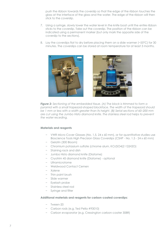push the ribbon towards the coverslip so that the edge of the ribbon touches the glass at the interface of the glass and the water. The edge of the ribbon will then stick to the coverslip.

- 7. Using a syringe, slowly lower the water level in the knife boat until the entire ribbon sticks to the coverslip. Take out the coverslip. The position of the ribbon can be indicated using a permanent marker (but only mark the opposite side of the coverslip to the sections).
- 8. Lay the coverslips flat to dry before placing them on a slide warmer (~55°C) for 30 minutes. The coverslips can be stored at room temperature for at least 3 months.



*Figure 2: Sectioning of the embedded tissue. (A) The block is trimmed to form a pyramid with a small trapezoid-shaped blockface. The width of the trapezoid should be 1 mm or less with a width greater than its height. (B) Serial sections of 60–200 mm are cut using the Jumbo Histo diamond knife. The stainless steel rod helps to prevent the water receding.* 

#### **Materials and reagents**

- − VWR Micro Cover Glasses (No. 1.5, 24 x 60 mm), or for quantitative studies use Bioscience Tools High Precision Glass Coverslips (CSHP - No. 1.5 - 24 x 60 mm)
- − Gelatin (300 Bloom)
- − Chromium potassium sulfate (chrome alum, KCr(SO4)2·12(H2O)
- − Staining rack and dish
- − Jumbo Histo diamond knife (Diatome)
- − Cryotrim 45 diamond knife (Diatome) optional
- − Ultramicrotome
- − Weldwood Contact Cemen
- − Xylene
- − Thin paint brush
- − Slide warmer
- − Eyelash probe
- − Stainless steel rod
- Syringe and filter

#### **Additional materials and reagents for carbon-coated coverslips:**

- − Tween-20
- − Carbon rods (e.g. Ted Pella #93010)
- − Carbon evaporator (e.g. Cressington carbon-coater 308R)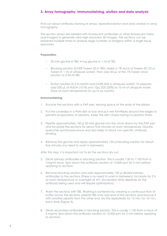# **3. Array tomography: Immunostaining, elution and data analysis**

Find out about antibody staining of arrays, repeated elution and data analysis in array tomography.

The section arrays are labeled with fluorescent antibodies or other fluorescent stains and imaged to generate ultra-high resolution 3D images. The sections can be restained multiple times to analyse large numbers of antigens within a single tissue specimen.

#### **Preparation**

- − 50 mM glycine in TBS: 4 mg glycine in 1 ml of TBS.
- − Blocking solution (0.05% Tween-20 in TBS): Make a 1% stock of Tween-20 (10 μl Tween in 1 ml of ultrapure water). Then add 50 μL of the 1% Tween stock solution to 0.94 ml TBS.
- − Elution solution (0.2 M NaOH and 0.02% SDS in ultrapure water): To prepare, add 200 μL of NaOH (10 N) and 10μL SDS (20%) to 10 ml of ultrapure water. Store at room temperature for up to six months.

#### **Immunostaining**

- 1. Encircle the sections with a PAP pen, leaving space at the ends of the ribbon.
- 2. Put the coverslips in a Petri dish or box and put wet KimWipes around the edges to prevent evaporation of solutions. Keep the dish closed during incubation times.
- 3. Pipette approximately 150 μl 50 mM glycine into the circle drawn by the PAP pen and incubate the sections for about five minutes at room temperature. Glycine quenches autofluorescence and also helps to block non-specific antibody binding.
- 4. Remove the glycine and apply approximately 150 μl blocking solution for about five minutes (no need to wash in between).

#### *After this step, it is important not to let the sections dry out.*

- 5. Dilute primary antibodies in blocking solution. This is usually 1:50 to 1:100 from a 1mg/ml stock. Spin down the antibody solution at 13,000 rpm for 2 min before applying to sections.
- 6. Remove blocking solution and add approximately 150 μl diluted primary antibodies to the sections (there is no need to wash in between). Incubate for 2 h at room temperature or overnight at 4°C (incubation time depends on the antibody being used and will require optimization).
- 7. Wash the sections with TBS. Washing is achieved by creating a continuous flow of buffer across the sections; pipette TBS onto one end of the sections and remove it with another pipette from the other end. Do this repeatedly for 15 min, for 10–15 s each time (Figure 3).
- 8. Dilute secondary antibodies in blocking solution. This is usually 1:150 from a stock of 2 mg/ml. Spin down the antibody solution at 13,000 rpm for 2 min before applying to sections.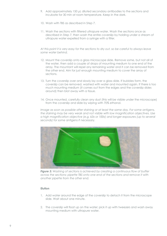- 9. Add approximately 150 μL diluted secondary antibodies to the sections and incubate for 30 min at room temperature. Keep in the dark.
- 10. Wash with TBS as described in Step 7.
- 11. Wash the sections with filtered ultrapure water. Wash the sections once as described in Step 7, then wash the entire coverslip by holding under a stream of ultrapure water expelled from a syringe with a filter.

*At this point it is very easy for the sections to dry out, so be careful to always leave some water behind.*

- 12. Mount the coverslip onto a glass microscope slide. Remove some, but not all of the water, then add a couple of drops of mounting medium to one end of the array. The mountant will repel any remaining water and it can be removed from the other end. Aim for just enough mounting medium to cover the array of sections.
- 13. Turn the coverslip over and slowly lay over a glass slide. If bubbles form, the coverslip can be removed, washed with water and mounted again. If there is too much mounting medium (it comes out from the edges and the coverslip slides around) then blot away with a tissue.
- 14. Once mounted, carefully clean any dust (this will be visible under the microscope) from the coverslip and slide by wiping with 70% ethanol.

*Image as soon as possible after staining or at least the same day. For some antigens, the staining may be very weak and not visible with low magnification objectives. Use a high magnification objective (e.g. 63x or 100x) and longer exposures (up to several seconds) for some antigens if necessary.*



*Figure 3: Washing of sections is achieved by creating a continuous flow of buffer across the sections; pipette TBS onto one end of the sections and remove it with another pipette from the other end.* 

#### **Elution**

- 1. Add water around the edge of the coverslip to detach it from the microscope slide. Wait about one minute.
- 2. The coverslip will float up on the water; pick it up with tweezers and wash away mounting medium with ultrapure water.